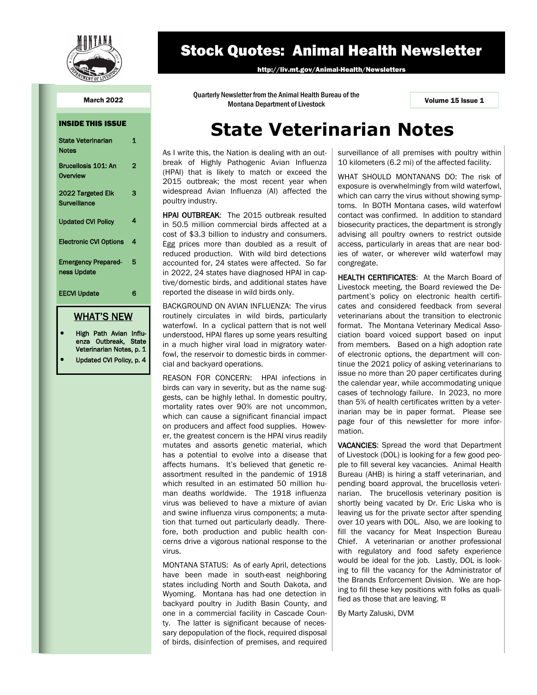

## Stock Quotes: Animal Health Newsletter

http://liv.mt.gov/Animal-Health/Newsletters

Quarterly Newsletter from the Animal Health Bureau of the March 2022<br>1 Volume 15 Issue 1 Montana Department of Livestock

> As I write this, the Nation is dealing with an outbreak of Highly Pathogenic Avian Influenza (HPAI) that is likely to match or exceed the 2015 outbreak; the most recent year when widespread Avian Influenza (AI) affected the

> HPAI OUTBREAK: The 2015 outbreak resulted in 50.5 million commercial birds affected at a cost of \$3.3 billion to industry and consumers. Egg prices more than doubled as a result of reduced production. With wild bird detections accounted for, 24 states were affected. So far in 2022, 24 states have diagnosed HPAI in captive/domestic birds, and additional states have

> BACKGROUND ON AVIAN INFLUENZA: The virus routinely circulates in wild birds, particularly waterfowl. In a cyclical pattern that is not well understood, HPAI flares up some years resulting in a much higher viral load in migratory waterfowl, the reservoir to domestic birds in commer-

> REASON FOR CONCERN: HPAI infections in birds can vary in severity, but as the name suggests, can be highly lethal. In domestic poultry, mortality rates over 90% are not uncommon, which can cause a significant financial impact on producers and affect food supplies. However, the greatest concern is the HPAI virus readily mutates and assorts genetic material, which has a potential to evolve into a disease that affects humans. It's believed that genetic reassortment resulted in the pandemic of 1918 which resulted in an estimated 50 million human deaths worldwide. The 1918 influenza virus was believed to have a mixture of avian and swine influenza virus components; a mutation that turned out particularly deadly. Therefore, both production and public health concerns drive a vigorous national response to the

> MONTANA STATUS: As of early April, detections have been made in south-east neighboring states including North and South Dakota, and Wyoming. Montana has had one detection in backyard poultry in Judith Basin County, and one in a commercial facility in Cascade County. The latter is significant because of necessary depopulation of the flock, required disposal of birds, disinfection of premises, and required

reported the disease in wild birds only.

cial and backyard operations.

virus.

poultry industry.

#### INSIDE THIS ISSUE

| Brucellosis 101: An<br>$\overline{2}$<br>Overview<br>2022 Targeted Elk<br>з<br>Surveillance<br>4<br><b>Updated CVI Policy</b><br><b>Electronic CVI Options</b><br>4<br><b>Emergency Prepared-</b><br>5<br>ness Update<br><b>EECVI Update</b><br>6 | <b>State Veterinarian</b><br><b>Notes</b> | 1 |
|---------------------------------------------------------------------------------------------------------------------------------------------------------------------------------------------------------------------------------------------------|-------------------------------------------|---|
|                                                                                                                                                                                                                                                   |                                           |   |
|                                                                                                                                                                                                                                                   |                                           |   |
|                                                                                                                                                                                                                                                   |                                           |   |
|                                                                                                                                                                                                                                                   |                                           |   |
|                                                                                                                                                                                                                                                   |                                           |   |
|                                                                                                                                                                                                                                                   |                                           |   |

### WHAT'S NEW

- High Path Avian Influenza Outbreak, State Veterinarian Notes, p. 1
- Updated CVI Policy, p. 4

**State Veterinarian Notes**

surveillance of all premises with poultry within 10 kilometers (6.2 mi) of the affected facility.

WHAT SHOULD MONTANANS DO: The risk of exposure is overwhelmingly from wild waterfowl, which can carry the virus without showing symptoms. In BOTH Montana cases, wild waterfowl contact was confirmed. In addition to standard biosecurity practices, the department is strongly advising all poultry owners to restrict outside access, particularly in areas that are near bodies of water, or wherever wild waterfowl may congregate.

HEALTH CERTIFICATES: At the March Board of Livestock meeting, the Board reviewed the Department's policy on electronic health certificates and considered feedback from several veterinarians about the transition to electronic format. The Montana Veterinary Medical Association board voiced support based on input from members. Based on a high adoption rate of electronic options, the department will continue the 2021 policy of asking veterinarians to issue no more than 20 paper certificates during the calendar year, while accommodating unique cases of technology failure. In 2023, no more than 5% of health certificates written by a veterinarian may be in paper format. Please see page four of this newsletter for more information.

VACANCIES: Spread the word that Department of Livestock (DOL) is looking for a few good people to fill several key vacancies. Animal Health Bureau (AHB) is hiring a staff veterinarian, and pending board approval, the brucellosis veterinarian. The brucellosis veterinary position is shortly being vacated by Dr. Eric Liska who is leaving us for the private sector after spending over 10 years with DOL. Also, we are looking to fill the vacancy for Meat Inspection Bureau Chief. A veterinarian or another professional with regulatory and food safety experience would be ideal for the job. Lastly, DOL is looking to fill the vacancy for the Administrator of the Brands Enforcement Division. We are hoping to fill these key positions with folks as qualified as those that are leaving.  $\alpha$ 

By Marty Zaluski, DVM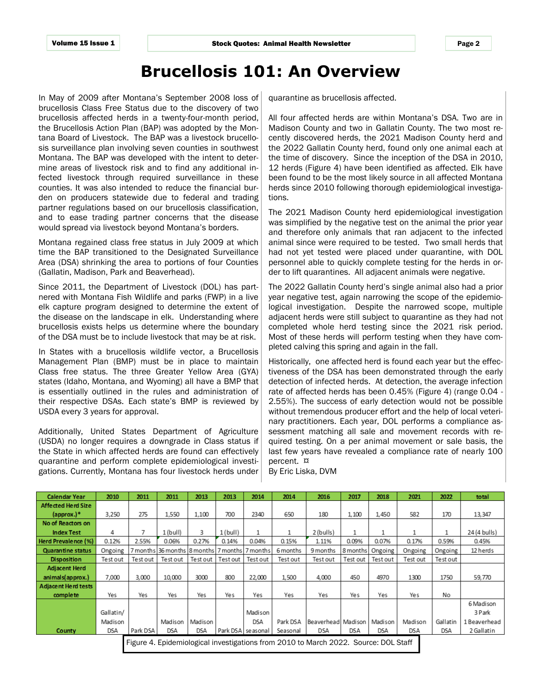Page 2

## **Brucellosis 101: An Overview**

In May of 2009 after Montana's September 2008 loss of brucellosis Class Free Status due to the discovery of two brucellosis affected herds in a twenty-four-month period, the Brucellosis Action Plan (BAP) was adopted by the Montana Board of Livestock. The BAP was a livestock brucellosis surveillance plan involving seven counties in southwest Montana. The BAP was developed with the intent to determine areas of livestock risk and to find any additional infected livestock through required surveillance in these counties. It was also intended to reduce the financial burden on producers statewide due to federal and trading partner regulations based on our brucellosis classification, and to ease trading partner concerns that the disease would spread via livestock beyond Montana's borders.

Montana regained class free status in July 2009 at which time the BAP transitioned to the Designated Surveillance Area (DSA) shrinking the area to portions of four Counties (Gallatin, Madison, Park and Beaverhead).

Since 2011, the Department of Livestock (DOL) has partnered with Montana Fish Wildlife and parks (FWP) in a live elk capture program designed to determine the extent of the disease on the landscape in elk. Understanding where brucellosis exists helps us determine where the boundary of the DSA must be to include livestock that may be at risk.

In States with a brucellosis wildlife vector, a Brucellosis Management Plan (BMP) must be in place to maintain Class free status. The three Greater Yellow Area (GYA) states (Idaho, Montana, and Wyoming) all have a BMP that is essentially outlined in the rules and administration of their respective DSAs. Each state's BMP is reviewed by USDA every 3 years for approval.

Additionally, United States Department of Agriculture (USDA) no longer requires a downgrade in Class status if the State in which affected herds are found can effectively quarantine and perform complete epidemiological investigations. Currently, Montana has four livestock herds under quarantine as brucellosis affected.

All four affected herds are within Montana's DSA. Two are in Madison County and two in Gallatin County. The two most recently discovered herds, the 2021 Madison County herd and the 2022 Gallatin County herd, found only one animal each at the time of discovery. Since the inception of the DSA in 2010, 12 herds (Figure 4) have been identified as affected. Elk have been found to be the most likely source in all affected Montana herds since 2010 following thorough epidemiological investigations.

The 2021 Madison County herd epidemiological investigation was simplified by the negative test on the animal the prior year and therefore only animals that ran adjacent to the infected animal since were required to be tested. Two small herds that had not yet tested were placed under quarantine, with DOL personnel able to quickly complete testing for the herds in order to lift quarantines. All adjacent animals were negative.

The 2022 Gallatin County herd's single animal also had a prior year negative test, again narrowing the scope of the epidemiological investigation. Despite the narrowed scope, multiple adjacent herds were still subject to quarantine as they had not completed whole herd testing since the 2021 risk period. Most of these herds will perform testing when they have completed calving this spring and again in the fall.

Historically, one affected herd is found each year but the effectiveness of the DSA has been demonstrated through the early detection of infected herds. At detection, the average infection rate of affected herds has been 0.45% (Figure 4) (range 0.04 - 2.55%). The success of early detection would not be possible without tremendous producer effort and the help of local veterinary practitioners. Each year, DOL performs a compliance assessment matching all sale and movement records with required testing. On a per animal movement or sale basis, the last few years have revealed a compliance rate of nearly 100 percent. ¤

By Eric Liska, DVM

| <b>Calendar Year</b>                                                                | 2010      | 2011     | 2011                        | 2013     | 2013       | 2014              | 2014     | 2016                | 2017     | 2018       | 2021       | 2022     | total        |
|-------------------------------------------------------------------------------------|-----------|----------|-----------------------------|----------|------------|-------------------|----------|---------------------|----------|------------|------------|----------|--------------|
| Affected Herd Size                                                                  |           |          |                             |          |            |                   |          |                     |          |            |            |          |              |
| ${\rm (approx.)}^*$                                                                 | 3,250     | 275      | 1,550                       | 1.100    | 700        | 2340              | 650      | 180                 | 1,100    | 1,450      | 582        | 170      | 13,347       |
| No of Reactors on                                                                   |           |          |                             |          |            |                   |          |                     |          |            |            |          |              |
| <b>Index Test</b>                                                                   | 4         |          | 1 (bull)                    | 3        | $1$ (bull) | 1                 | 1        | 2 (bulls)           | 1        |            | 1          |          | 24 (4 bulls) |
| Herd Prevalence (%)                                                                 | 0.12%     | 2.55%    | 0.06%                       | 0.27%    | 0.14%      | 0.04%             | 0.15%    | 1.11%               | 0.09%    | 0.07%      | 0.17%      | 0.59%    | 0.45%        |
| <b>Quarantine status</b>                                                            | Ongoing   |          | 7 months 36 months 8 months |          | 7 months   | 7 months          | 6 months | 9 months            | 8 months | Ongoing    | Ongoing    | Ongoing  | 12 herds     |
| <b>Disposition</b>                                                                  | Test out  | Test out | Test out                    | Test out | Test out   | Test out          | Test out | Test out            | Test out | Test out   | Test out   | Test out |              |
| <b>Adjacent Herd</b>                                                                |           |          |                             |          |            |                   |          |                     |          |            |            |          |              |
| animals(approx.)                                                                    | 7,000     | 3,000    | 10,000                      | 3000     | 800        | 22,000            | 1,500    | 4,000               | 450      | 4970       | 1300       | 1750     | 59,770       |
| <b>Adjacent Herd tests</b>                                                          |           |          |                             |          |            |                   |          |                     |          |            |            |          |              |
| complete                                                                            | Yes       | Yes      | Yes                         | Yes      | Yes        | Yes               | Yes      | Yes                 | Yes      | Yes        | Yes        | No       |              |
|                                                                                     |           |          |                             |          |            |                   |          |                     |          |            |            |          | 6 Madison    |
|                                                                                     | Gallatin/ |          |                             |          |            | Madison           |          |                     |          |            |            |          | 3 Park       |
|                                                                                     | Madison   |          | Madison                     | Madison  |            | <b>DSA</b>        | Park DSA | Beaverhead  Madison |          | Madison    | Madison    | Gallatin | 1 Beaverhead |
| <b>County</b>                                                                       | DSA       | Park DSA | <b>DSA</b>                  | DSA      |            | Park DSA seasonal | Seasonal | <b>DSA</b>          | DSA      | <b>DSA</b> | <b>DSA</b> | DSA      | 2 Gallatin   |
| Figure 4. Epidemiological investigations from 2010 to March 2022. Source: DOL Staff |           |          |                             |          |            |                   |          |                     |          |            |            |          |              |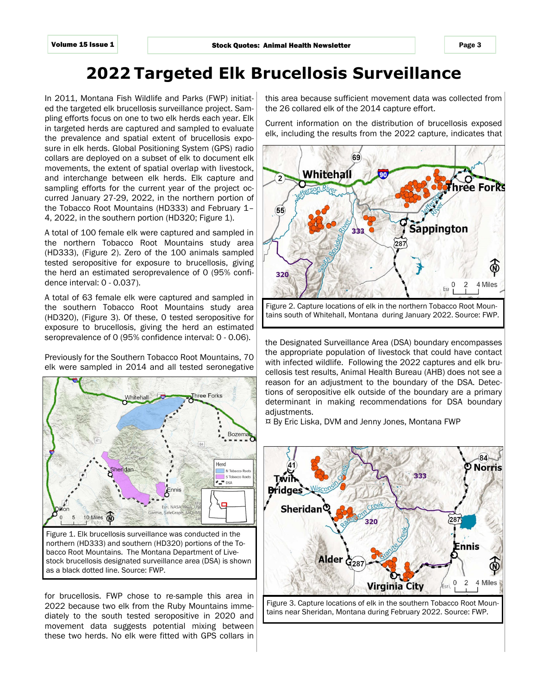# **2022 Targeted Elk Brucellosis Surveillance**

In 2011, Montana Fish Wildlife and Parks (FWP) initiated the targeted elk brucellosis surveillance project. Sampling efforts focus on one to two elk herds each year. Elk in targeted herds are captured and sampled to evaluate the prevalence and spatial extent of brucellosis exposure in elk herds. Global Positioning System (GPS) radio collars are deployed on a subset of elk to document elk movements, the extent of spatial overlap with livestock, and interchange between elk herds. Elk capture and sampling efforts for the current year of the project occurred January 27-29, 2022, in the northern portion of the Tobacco Root Mountains (HD333) and February 1– 4, 2022, in the southern portion (HD320; Figure 1).

A total of 100 female elk were captured and sampled in the northern Tobacco Root Mountains study area (HD333), (Figure 2). Zero of the 100 animals sampled tested seropositive for exposure to brucellosis, giving the herd an estimated seroprevalence of 0 (95% confidence interval: 0 - 0.037).

A total of 63 female elk were captured and sampled in the southern Tobacco Root Mountains study area (HD320), (Figure 3). Of these, 0 tested seropositive for exposure to brucellosis, giving the herd an estimated seroprevalence of 0 (95% confidence interval: 0 - 0.06).

Previously for the Southern Tobacco Root Mountains, 70 elk were sampled in 2014 and all tested seronegative



Figure 1. Elk brucellosis surveillance was conducted in the northern (HD333) and southern (HD320) portions of the Tobacco Root Mountains. The Montana Department of Livestock brucellosis designated surveillance area (DSA) is shown as a black dotted line. Source: FWP.

for brucellosis. FWP chose to re-sample this area in 2022 because two elk from the Ruby Mountains immediately to the south tested seropositive in 2020 and movement data suggests potential mixing between these two herds. No elk were fitted with GPS collars in this area because sufficient movement data was collected from the 26 collared elk of the 2014 capture effort.

Current information on the distribution of brucellosis exposed elk, including the results from the 2022 capture, indicates that



Figure 2. Capture locations of elk in the northern Tobacco Root Mountains south of Whitehall, Montana during January 2022. Source: FWP.

the Designated Surveillance Area (DSA) boundary encompasses the appropriate population of livestock that could have contact with infected wildlife. Following the 2022 captures and elk brucellosis test results, Animal Health Bureau (AHB) does not see a reason for an adjustment to the boundary of the DSA. Detections of seropositive elk outside of the boundary are a primary determinant in making recommendations for DSA boundary adjustments.

¤ By Eric Liska, DVM and Jenny Jones, Montana FWP



Figure 3. Capture locations of elk in the southern Tobacco Root Mountains near Sheridan, Montana during February 2022. Source: FWP.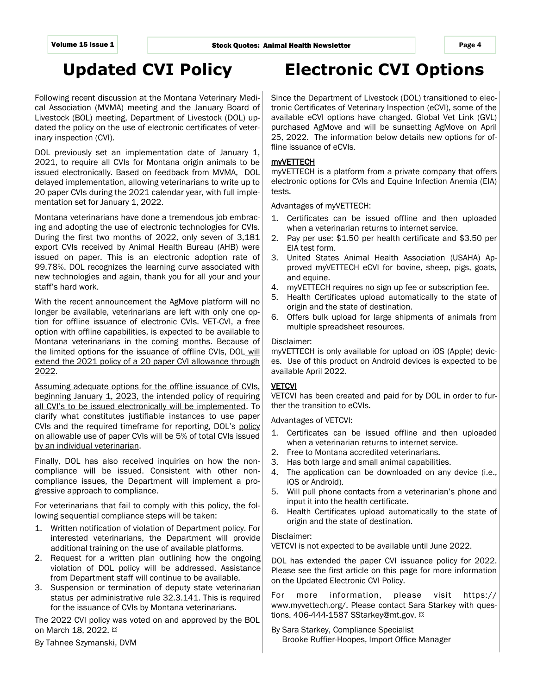# **Updated CVI Policy**

Following recent discussion at the Montana Veterinary Medical Association (MVMA) meeting and the January Board of Livestock (BOL) meeting, Department of Livestock (DOL) updated the policy on the use of electronic certificates of veterinary inspection (CVI).

DOL previously set an implementation date of January 1, 2021, to require all CVIs for Montana origin animals to be issued electronically. Based on feedback from MVMA, DOL delayed implementation, allowing veterinarians to write up to 20 paper CVIs during the 2021 calendar year, with full implementation set for January 1, 2022.

Montana veterinarians have done a tremendous job embracing and adopting the use of electronic technologies for CVIs. During the first two months of 2022, only seven of 3,181 export CVIs received by Animal Health Bureau (AHB) were issued on paper. This is an electronic adoption rate of 99.78%. DOL recognizes the learning curve associated with new technologies and again, thank you for all your and your staff's hard work.

With the recent announcement the AgMove platform will no longer be available, veterinarians are left with only one option for offline issuance of electronic CVIs. VET-CVI, a free option with offline capabilities, is expected to be available to Montana veterinarians in the coming months. Because of the limited options for the issuance of offline CVIs, DOL will extend the 2021 policy of a 20 paper CVI allowance through 2022.

Assuming adequate options for the offline issuance of CVIs, beginning January 1, 2023, the intended policy of requiring all CVI's to be issued electronically will be implemented. To clarify what constitutes justifiable instances to use paper CVIs and the required timeframe for reporting, DOL's policy on allowable use of paper CVIs will be 5% of total CVIs issued by an individual veterinarian.

Finally, DOL has also received inquiries on how the noncompliance will be issued. Consistent with other noncompliance issues, the Department will implement a progressive approach to compliance.

For veterinarians that fail to comply with this policy, the following sequential compliance steps will be taken:

- 1. Written notification of violation of Department policy. For interested veterinarians, the Department will provide additional training on the use of available platforms.
- 2. Request for a written plan outlining how the ongoing violation of DOL policy will be addressed. Assistance from Department staff will continue to be available.
- 3. Suspension or termination of deputy state veterinarian status per administrative rule 32.3.141. This is required for the issuance of CVIs by Montana veterinarians.

The 2022 CVI policy was voted on and approved by the BOL on March 18, 2022. ¤

By Tahnee Szymanski, DVM

# **Electronic CVI Options**

Since the Department of Livestock (DOL) transitioned to electronic Certificates of Veterinary Inspection (eCVI), some of the available eCVI options have changed. Global Vet Link (GVL) purchased AgMove and will be sunsetting AgMove on April 25, 2022. The information below details new options for offline issuance of eCVIs.

### myVETTECH

myVETTECH is a platform from a private company that offers electronic options for CVIs and Equine Infection Anemia (EIA) tests.

Advantages of myVETTECH:

- 1. Certificates can be issued offline and then uploaded when a veterinarian returns to internet service.
- 2. Pay per use: \$1.50 per health certificate and \$3.50 per EIA test form.
- 3. United States Animal Health Association (USAHA) Approved myVETTECH eCVI for bovine, sheep, pigs, goats, and equine.
- 4. myVETTECH requires no sign up fee or subscription fee.
- 5. Health Certificates upload automatically to the state of origin and the state of destination.
- 6. Offers bulk upload for large shipments of animals from multiple spreadsheet resources.

### Disclaimer:

myVETTECH is only available for upload on iOS (Apple) devices. Use of this product on Android devices is expected to be available April 2022.

### **VETCVI**

VETCVI has been created and paid for by DOL in order to further the transition to eCVIs.

Advantages of VETCVI:

- 1. Certificates can be issued offline and then uploaded when a veterinarian returns to internet service.
- 2. Free to Montana accredited veterinarians.
- 3. Has both large and small animal capabilities.
- 4. The application can be downloaded on any device (i.e., iOS or Android).
- 5. Will pull phone contacts from a veterinarian's phone and input it into the health certificate.
- 6. Health Certificates upload automatically to the state of origin and the state of destination.

### Disclaimer:

VETCVI is not expected to be available until June 2022.

DOL has extended the paper CVI issuance policy for 2022. Please see the first article on this page for more information on the Updated Electronic CVI Policy.

For more information, please visit https:// www.myvettech.org/. Please contact Sara Starkey with questions. 406-444-1587 SStarkey@mt.gov. ¤

By Sara Starkey, Compliance Specialist Brooke Ruffier-Hoopes, Import Office Manager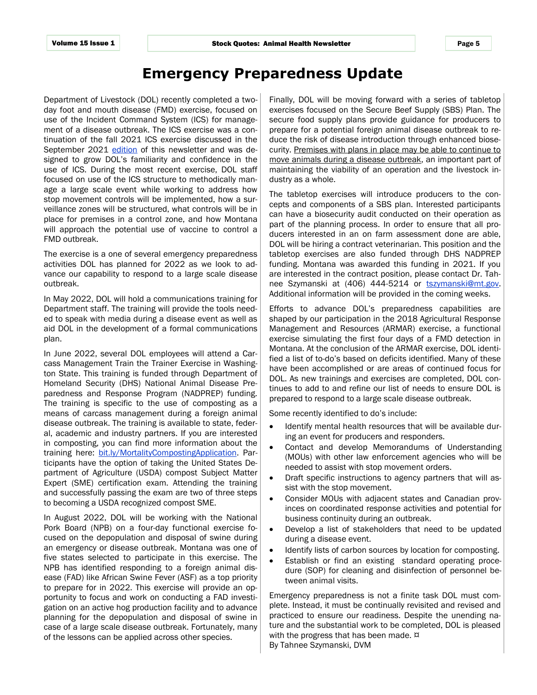### **Emergency Preparedness Update**

Department of Livestock (DOL) recently completed a twoday foot and mouth disease (FMD) exercise, focused on use of the Incident Command System (ICS) for management of a disease outbreak. The ICS exercise was a continuation of the fall 2021 ICS exercise discussed in the September 2021 [edition](https://liv.mt.gov/_docs/Animal-Health/Newsletters/2021_3rdQ_Vol_14_Issue_3_FINAL.pdf) of this newsletter and was designed to grow DOL's familiarity and confidence in the use of ICS. During the most recent exercise, DOL staff focused on use of the ICS structure to methodically manage a large scale event while working to address how stop movement controls will be implemented, how a surveillance zones will be structured, what controls will be in place for premises in a control zone, and how Montana will approach the potential use of vaccine to control a FMD outbreak.

The exercise is a one of several emergency preparedness activities DOL has planned for 2022 as we look to advance our capability to respond to a large scale disease outbreak.

In May 2022, DOL will hold a communications training for Department staff. The training will provide the tools needed to speak with media during a disease event as well as aid DOL in the development of a formal communications plan.

In June 2022, several DOL employees will attend a Carcass Management Train the Trainer Exercise in Washington State. This training is funded through Department of Homeland Security (DHS) National Animal Disease Preparedness and Response Program (NADPREP) funding. The training is specific to the use of composting as a means of carcass management during a foreign animal disease outbreak. The training is available to state, federal, academic and industry partners. If you are interested in composting, you can find more information about the training here: [bit.ly/MortalityCompostingApplication.](file:///S:/AHEALTH/2018%20-%20AHEALTH/Public%20Outreach/Newsletters/2022/1st%20Quarter/Submissions/bit.ly/MortalityCompostingApplication) Participants have the option of taking the United States Department of Agriculture (USDA) compost Subject Matter Expert (SME) certification exam. Attending the training and successfully passing the exam are two of three steps to becoming a USDA recognized compost SME.

In August 2022, DOL will be working with the National Pork Board (NPB) on a four-day functional exercise focused on the depopulation and disposal of swine during an emergency or disease outbreak. Montana was one of five states selected to participate in this exercise. The NPB has identified responding to a foreign animal disease (FAD) like African Swine Fever (ASF) as a top priority to prepare for in 2022. This exercise will provide an opportunity to focus and work on conducting a FAD investigation on an active hog production facility and to advance planning for the depopulation and disposal of swine in case of a large scale disease outbreak. Fortunately, many of the lessons can be applied across other species.

Finally, DOL will be moving forward with a series of tabletop exercises focused on the Secure Beef Supply (SBS) Plan. The secure food supply plans provide guidance for producers to prepare for a potential foreign animal disease outbreak to reduce the risk of disease introduction through enhanced biosecurity. Premises with plans in place may be able to continue to move animals during a disease outbreak, an important part of maintaining the viability of an operation and the livestock industry as a whole.

The tabletop exercises will introduce producers to the concepts and components of a SBS plan. Interested participants can have a biosecurity audit conducted on their operation as part of the planning process. In order to ensure that all producers interested in an on farm assessment done are able, DOL will be hiring a contract veterinarian. This position and the tabletop exercises are also funded through DHS NADPREP funding. Montana was awarded this funding in 2021. If you are interested in the contract position, please contact Dr. Tahnee Szymanski at (406) 444-5214 or tszymanski@mt.gov. Additional information will be provided in the coming weeks.

Efforts to advance DOL's preparedness capabilities are shaped by our participation in the 2018 Agricultural Response Management and Resources (ARMAR) exercise, a functional exercise simulating the first four days of a FMD detection in Montana. At the conclusion of the ARMAR exercise, DOL identified a list of to-do's based on deficits identified. Many of these have been accomplished or are areas of continued focus for DOL. As new trainings and exercises are completed, DOL continues to add to and refine our list of needs to ensure DOL is prepared to respond to a large scale disease outbreak.

Some recently identified to do's include:

- Identify mental health resources that will be available during an event for producers and responders.
- Contact and develop Memorandums of Understanding (MOUs) with other law enforcement agencies who will be needed to assist with stop movement orders.
- Draft specific instructions to agency partners that will assist with the stop movement.
- Consider MOUs with adjacent states and Canadian provinces on coordinated response activities and potential for business continuity during an outbreak.
- Develop a list of stakeholders that need to be updated during a disease event.
- Identify lists of carbon sources by location for composting.
- Establish or find an existing standard operating procedure (SOP) for cleaning and disinfection of personnel between animal visits.

Emergency preparedness is not a finite task DOL must complete. Instead, it must be continually revisited and revised and practiced to ensure our readiness. Despite the unending nature and the substantial work to be completed, DOL is pleased with the progress that has been made.  $\alpha$ By Tahnee Szymanski, DVM